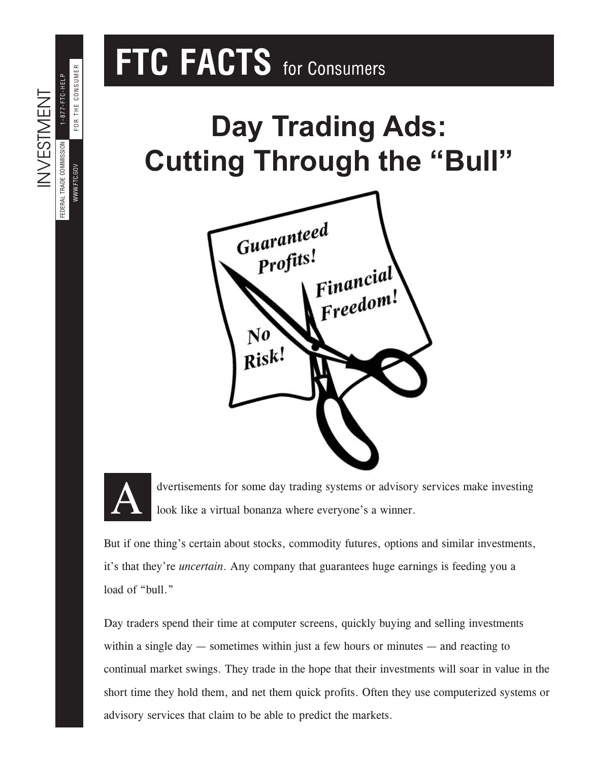# **FTC FACTS** for Consumers

## **Day Trading Ads: Cutting Through the "Bull"**





FEDERAL TRADE COMMISSION

FEDERAL TRADE COMMISSION WWW.FTC.GOV

INVESTMENT

**INVESTMENT** 

WWW.FTC.GOV

FOR THE CONSUMER 1-877-FTC-HELP

FOR THE CONSUMER 1-877-FTC-HELP

> dvertisements for some day trading systems or advisory services make investing look like a virtual bonanza where everyone's a winner.

But if one thing's certain about stocks, commodity futures, options and similar investments, it's that they're *uncertain*. Any company that guarantees huge earnings is feeding you a load of "bull."

Day traders spend their time at computer screens, quickly buying and selling investments within a single day — sometimes within just a few hours or minutes — and reacting to continual market swings. They trade in the hope that their investments will soar in value in the short time they hold them, and net them quick profits. Often they use computerized systems or advisory services that claim to be able to predict the markets.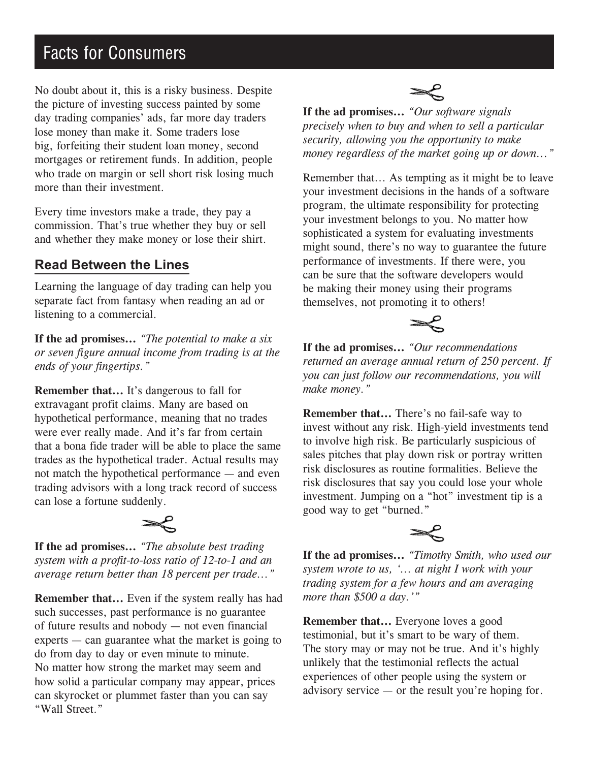### Facts for Consumers

No doubt about it, this is a risky business. Despite the picture of investing success painted by some day trading companies' ads, far more day traders lose money than make it. Some traders lose big, forfeiting their student loan money, second mortgages or retirement funds. In addition, people who trade on margin or sell short risk losing much more than their investment.

Every time investors make a trade, they pay a commission. That's true whether they buy or sell and whether they make money or lose their shirt.

#### **Read Between the Lines**

Learning the language of day trading can help you separate fact from fantasy when reading an ad or listening to a commercial.

**If the ad promises...** *"The potential to make a six or seven figure annual income from trading is at the ends of your fingertips."*

**Remember that...** It's dangerous to fall for extravagant profit claims. Many are based on hypothetical performance, meaning that no trades were ever really made. And it's far from certain that a bona fide trader will be able to place the same trades as the hypothetical trader. Actual results may not match the hypothetical performance — and even trading advisors with a long track record of success can lose a fortune suddenly.



**If the ad promises...** *"The absolute best trading system with a profit-to-loss ratio of 12-to-1 and an average return better than 18 percent per trade..."*

**Remember that...** Even if the system really has had such successes, past performance is no guarantee of future results and nobody — not even financial experts — can guarantee what the market is going to do from day to day or even minute to minute. No matter how strong the market may seem and how solid a particular company may appear, prices can skyrocket or plummet faster than you can say "Wall Street."



**If the ad promises...** *"Our software signals precisely when to buy and when to sell a particular security, allowing you the opportunity to make money regardless of the market going up or down..."*

Remember that... As tempting as it might be to leave your investment decisions in the hands of a software program, the ultimate responsibility for protecting your investment belongs to you. No matter how sophisticated a system for evaluating investments might sound, there's no way to guarantee the future performance of investments. If there were, you can be sure that the software developers would be making their money using their programs themselves, not promoting it to others!



**If the ad promises...** *"Our recommendations returned an average annual return of 250 percent. If you can just follow our recommendations, you will make money."*

**Remember that...** There's no fail-safe way to invest without any risk. High-yield investments tend to involve high risk. Be particularly suspicious of sales pitches that play down risk or portray written risk disclosures as routine formalities. Believe the risk disclosures that say you could lose your whole investment. Jumping on a "hot" investment tip is a good way to get "burned."



**If the ad promises...** *"Timothy Smith, who used our system wrote to us, '... at night I work with your trading system for a few hours and am averaging more than \$500 a day.'"*

**Remember that...** Everyone loves a good testimonial, but it's smart to be wary of them. The story may or may not be true. And it's highly unlikely that the testimonial reflects the actual experiences of other people using the system or advisory service — or the result you're hoping for.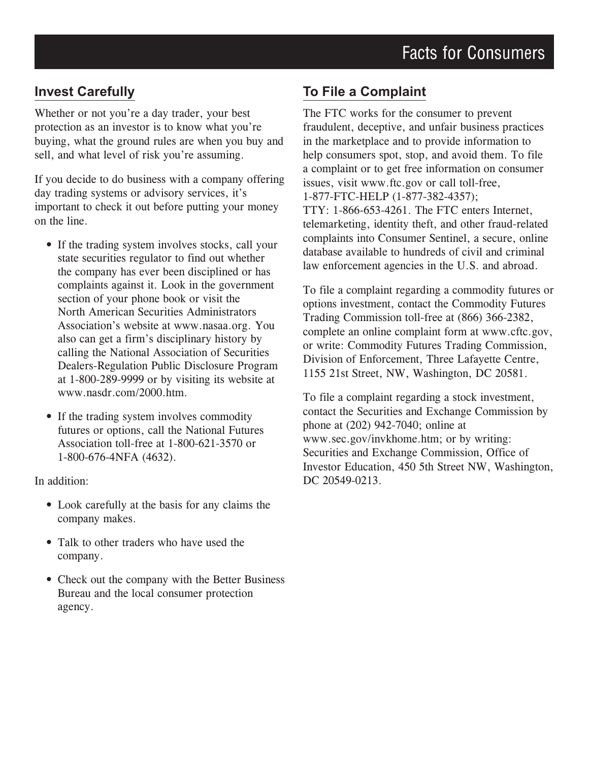#### **Invest Carefully**

Whether or not you're a day trader, your best protection as an investor is to know what you're buying, what the ground rules are when you buy and sell, and what level of risk you're assuming.

If you decide to do business with a company offering day trading systems or advisory services, it's important to check it out before putting your money on the line.

- If the trading system involves stocks, call your state securities regulator to find out whether the company has ever been disciplined or has complaints against it. Look in the government section of your phone book or visit the North American Securities Administrators Association's website at www.nasaa.org. You also can get a firm's disciplinary history by calling the National Association of Securities Dealers-Regulation Public Disclosure Program at 1-800-289-9999 or by visiting its website at www.nasdr.com/2000.htm.
- If the trading system involves commodity futures or options, call the National Futures Association toll-free at 1-800-621-3570 or 1-800-676-4NFA (4632).

In addition:

- Look carefully at the basis for any claims the company makes.
- Talk to other traders who have used the company.
- Check out the company with the Better Business Bureau and the local consumer protection agency.

#### **To File a Complaint**

The FTC works for the consumer to prevent fraudulent, deceptive, and unfair business practices in the marketplace and to provide information to help consumers spot, stop, and avoid them. To file a complaint or to get free information on consumer issues, visit www.ftc.gov or call toll-free, 1-877-FTC-HELP (1-877-382-4357); TTY: 1-866-653-4261. The FTC enters Internet, telemarketing, identity theft, and other fraud-related complaints into Consumer Sentinel, a secure, online database available to hundreds of civil and criminal law enforcement agencies in the U.S. and abroad.

To file a complaint regarding a commodity futures or options investment, contact the Commodity Futures Trading Commission toll-free at (866) 366-2382, complete an online complaint form at www.cftc.gov, or write: Commodity Futures Trading Commission, Division of Enforcement, Three Lafayette Centre, 1155 21st Street, NW, Washington, DC 20581.

To file a complaint regarding a stock investment, contact the Securities and Exchange Commission by phone at (202) 942-7040; online at www.sec.gov/invkhome.htm; or by writing: Securities and Exchange Commission, Office of Investor Education, 450 5th Street NW, Washington, DC 20549-0213.